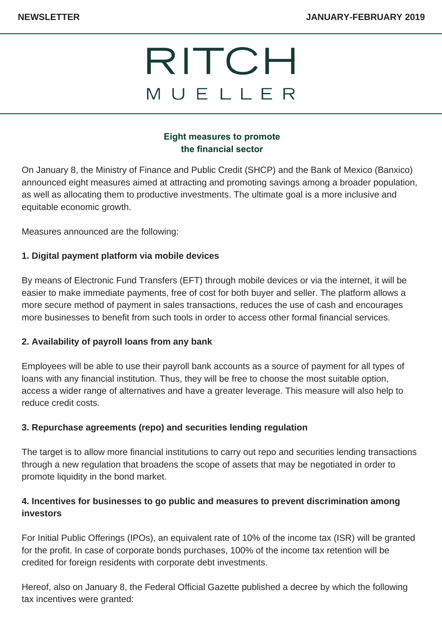# RITCH MUELLER

### **Eight measures to promote the financial sector**

On January 8, the Ministry of Finance and Public Credit (SHCP) and the Bank of Mexico (Banxico) announced eight measures aimed at attracting and promoting savings among a broader population, as well as allocating them to productive investments. The ultimate goal is a more inclusive and equitable economic growth.

Measures announced are the following:

### **1. Digital payment platform via mobile devices**

By means of Electronic Fund Transfers (EFT) through mobile devices or via the internet, it will be easier to make immediate payments, free of cost for both buyer and seller. The platform allows a more secure method of payment in sales transactions, reduces the use of cash and encourages more businesses to benefit from such tools in order to access other formal financial services.

### **2. Availability of payroll loans from any bank**

Employees will be able to use their payroll bank accounts as a source of payment for all types of loans with any financial institution. Thus, they will be free to choose the most suitable option, access a wider range of alternatives and have a greater leverage. This measure will also help to reduce credit costs.

### **3. Repurchase agreements (repo) and securities lending regulation**

The target is to allow more financial institutions to carry out repo and securities lending transactions through a new regulation that broadens the scope of assets that may be negotiated in order to promote liquidity in the bond market.

## **4. Incentives for businesses to go public and measures to prevent discrimination among investors**

For Initial Public Offerings (IPOs), an equivalent rate of 10% of the income tax (ISR) will be granted for the profit. In case of corporate bonds purchases, 100% of the income tax retention will be credited for foreign residents with corporate debt investments.

Hereof, also on January 8, the Federal Official Gazette published a decree by which the following tax incentives were granted: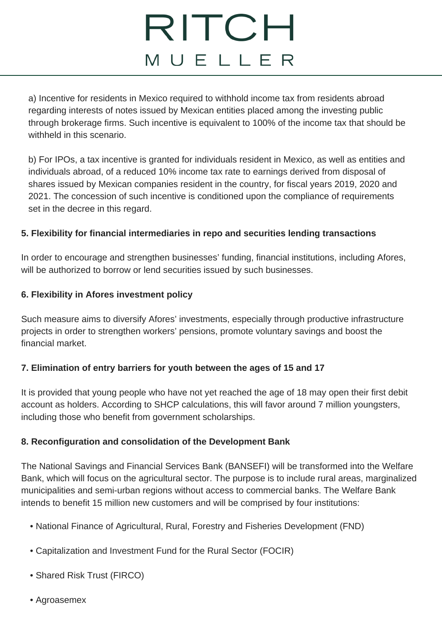# RITCH MUELLER

a) Incentive for residents in Mexico required to withhold income tax from residents abroad regarding interests of notes issued by Mexican entities placed among the investing public through brokerage firms. Such incentive is equivalent to 100% of the income tax that should be withheld in this scenario.

b) For IPOs, a tax incentive is granted for individuals resident in Mexico, as well as entities and individuals abroad, of a reduced 10% income tax rate to earnings derived from disposal of shares issued by Mexican companies resident in the country, for fiscal years 2019, 2020 and 2021. The concession of such incentive is conditioned upon the compliance of requirements set in the decree in this regard.

### **5. Flexibility for financial intermediaries in repo and securities lending transactions**

In order to encourage and strengthen businesses' funding, financial institutions, including Afores, will be authorized to borrow or lend securities issued by such businesses.

### **6. Flexibility in Afores investment policy**

Such measure aims to diversify Afores' investments, especially through productive infrastructure projects in order to strengthen workers' pensions, promote voluntary savings and boost the financial market.

### **7. Elimination of entry barriers for youth between the ages of 15 and 17**

It is provided that young people who have not yet reached the age of 18 may open their first debit account as holders. According to SHCP calculations, this will favor around 7 million youngsters, including those who benefit from government scholarships.

#### **8. Reconfiguration and consolidation of the Development Bank**

The National Savings and Financial Services Bank (BANSEFI) will be transformed into the Welfare Bank, which will focus on the agricultural sector. The purpose is to include rural areas, marginalized municipalities and semi-urban regions without access to commercial banks. The Welfare Bank intends to benefit 15 million new customers and will be comprised by four institutions:

- National Finance of Agricultural, Rural, Forestry and Fisheries Development (FND)
- Capitalization and Investment Fund for the Rural Sector (FOCIR)
- Shared Risk Trust (FIRCO)
- Agroasemex